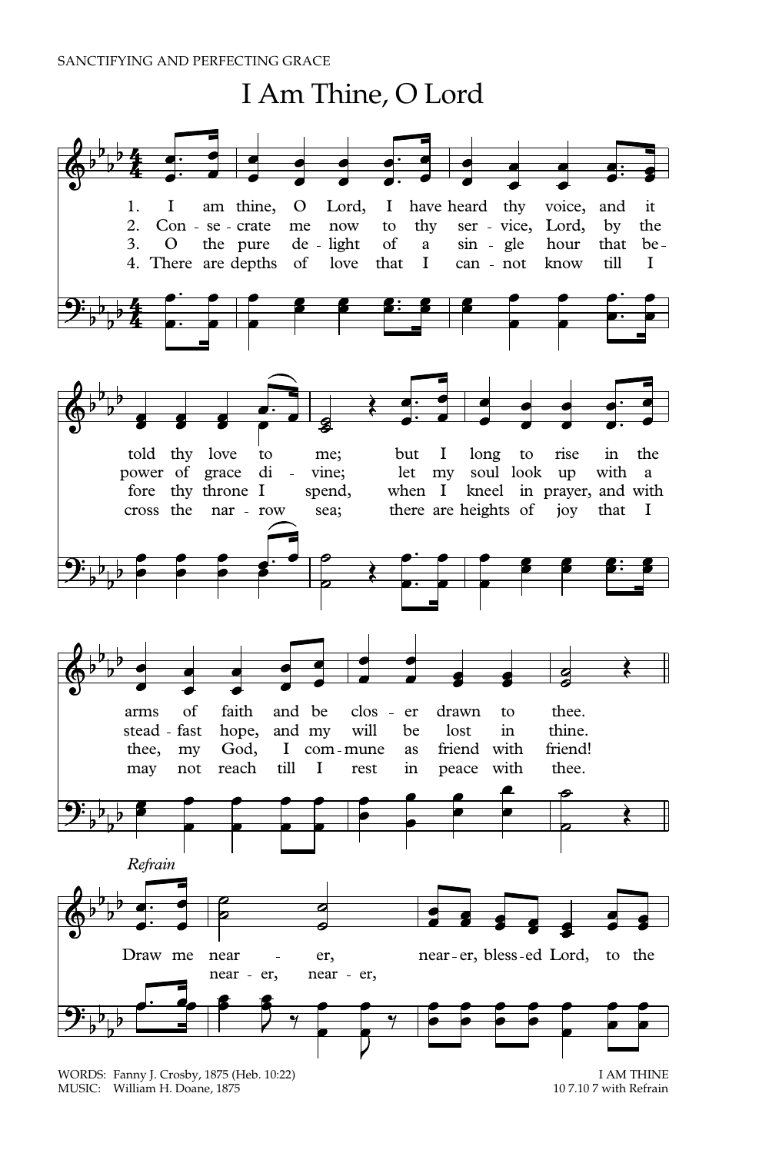## I Am Thine, O Lord 1. I am thine, O Lord, I have heard thy voice, and it 2. Con - se - crate me now to thy ser - vice, Lord, by the 3. O the pure de light of a sin - gle hour that be-4. There are depths of love that I can - not know till I ŀ. told thy love to me; but I long to rise in the power of grace di - vine; let my soul look up with a fore thy throne I spend, when I kneel in prayer, and with cross the nar - row sea; there are heights of joy that I arms of faith and be clos er drawn to thee. stead fast hope, and my will be lost in thine.<br>thee, my God. I com-mune as friend with friend! thee, my God, I com-mune as friend with may not reach till I rest in peace with thee. *Refrain* Draw me near - er, near-er, bless-ed Lord, to the near - er, near - er,

WORDS: Fanny J. Crosby, 1875 (Heb. 10:22) <br>MUSIC: William H. Doane, 1875 (Interval) 107.107 with Refrain MUSIC: William H. Doane, 1875